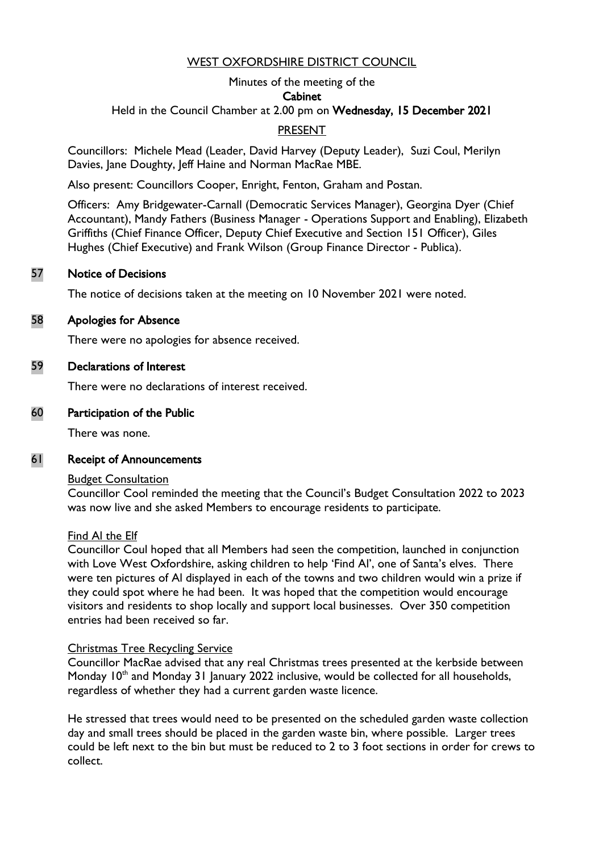## WEST OXFORDSHIRE DISTRICT COUNCIL

#### Minutes of the meeting of the

#### Cabinet

Held in the Council Chamber at 2.00 pm on Wednesday, 15 December 2021

# PRESENT

Councillors: Michele Mead (Leader, David Harvey (Deputy Leader), Suzi Coul, Merilyn Davies, Jane Doughty, Jeff Haine and Norman MacRae MBE.

Also present: Councillors Cooper, Enright, Fenton, Graham and Postan.

Officers: Amy Bridgewater-Carnall (Democratic Services Manager), Georgina Dyer (Chief Accountant), Mandy Fathers (Business Manager - Operations Support and Enabling), Elizabeth Griffiths (Chief Finance Officer, Deputy Chief Executive and Section 151 Officer), Giles Hughes (Chief Executive) and Frank Wilson (Group Finance Director - Publica).

#### 57 Notice of Decisions

The notice of decisions taken at the meeting on 10 November 2021 were noted.

#### 58 Apologies for Absence

There were no apologies for absence received.

#### 59 Declarations of Interest

There were no declarations of interest received.

#### 60 Participation of the Public

There was none.

#### 61 Receipt of Announcements

#### **Budget Consultation**

Councillor Cool reminded the meeting that the Council's Budget Consultation 2022 to 2023 was now live and she asked Members to encourage residents to participate.

#### Find Al the Elf

Councillor Coul hoped that all Members had seen the competition, launched in conjunction with Love West Oxfordshire, asking children to help 'Find Al', one of Santa's elves. There were ten pictures of Al displayed in each of the towns and two children would win a prize if they could spot where he had been. It was hoped that the competition would encourage visitors and residents to shop locally and support local businesses. Over 350 competition entries had been received so far.

#### Christmas Tree Recycling Service

Councillor MacRae advised that any real Christmas trees presented at the kerbside between Monday 10<sup>th</sup> and Monday 31 January 2022 inclusive, would be collected for all households, regardless of whether they had a current garden waste licence.

He stressed that trees would need to be presented on the scheduled garden waste collection day and small trees should be placed in the garden waste bin, where possible. Larger trees could be left next to the bin but must be reduced to 2 to 3 foot sections in order for crews to collect.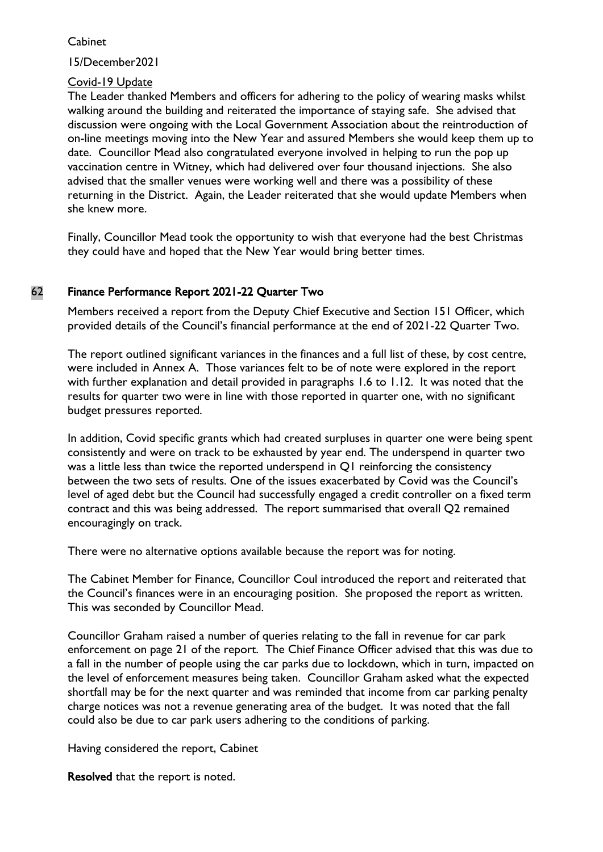15/December2021

## Covid-19 Update

The Leader thanked Members and officers for adhering to the policy of wearing masks whilst walking around the building and reiterated the importance of staying safe. She advised that discussion were ongoing with the Local Government Association about the reintroduction of on-line meetings moving into the New Year and assured Members she would keep them up to date. Councillor Mead also congratulated everyone involved in helping to run the pop up vaccination centre in Witney, which had delivered over four thousand injections. She also advised that the smaller venues were working well and there was a possibility of these returning in the District. Again, the Leader reiterated that she would update Members when she knew more.

Finally, Councillor Mead took the opportunity to wish that everyone had the best Christmas they could have and hoped that the New Year would bring better times.

# 62 Finance Performance Report 2021-22 Quarter Two

Members received a report from the Deputy Chief Executive and Section 151 Officer, which provided details of the Council's financial performance at the end of 2021-22 Quarter Two.

The report outlined significant variances in the finances and a full list of these, by cost centre, were included in Annex A. Those variances felt to be of note were explored in the report with further explanation and detail provided in paragraphs 1.6 to 1.12. It was noted that the results for quarter two were in line with those reported in quarter one, with no significant budget pressures reported.

In addition, Covid specific grants which had created surpluses in quarter one were being spent consistently and were on track to be exhausted by year end. The underspend in quarter two was a little less than twice the reported underspend in Q1 reinforcing the consistency between the two sets of results. One of the issues exacerbated by Covid was the Council's level of aged debt but the Council had successfully engaged a credit controller on a fixed term contract and this was being addressed. The report summarised that overall Q2 remained encouragingly on track.

There were no alternative options available because the report was for noting.

The Cabinet Member for Finance, Councillor Coul introduced the report and reiterated that the Council's finances were in an encouraging position. She proposed the report as written. This was seconded by Councillor Mead.

Councillor Graham raised a number of queries relating to the fall in revenue for car park enforcement on page 21 of the report. The Chief Finance Officer advised that this was due to a fall in the number of people using the car parks due to lockdown, which in turn, impacted on the level of enforcement measures being taken. Councillor Graham asked what the expected shortfall may be for the next quarter and was reminded that income from car parking penalty charge notices was not a revenue generating area of the budget. It was noted that the fall could also be due to car park users adhering to the conditions of parking.

Having considered the report, Cabinet

Resolved that the report is noted.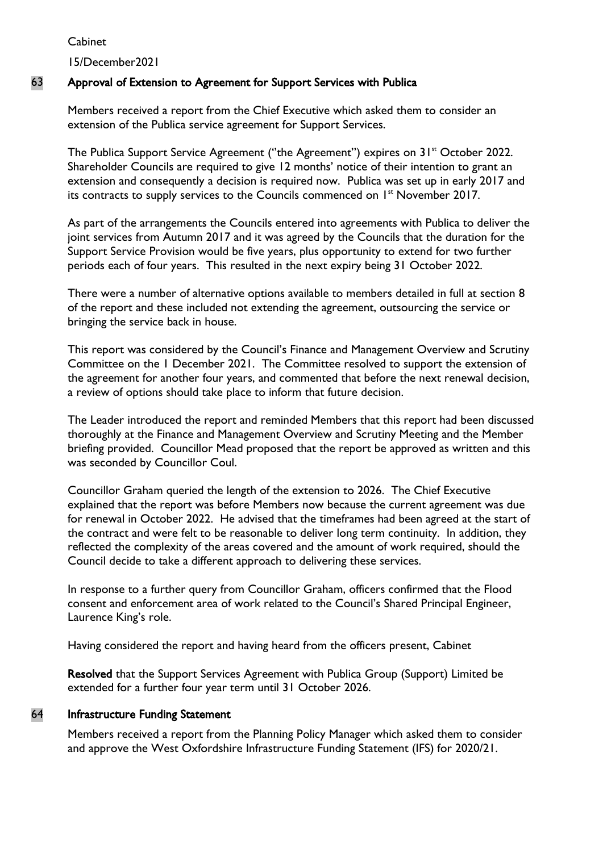15/December2021

# 63 Approval of Extension to Agreement for Support Services with Publica

Members received a report from the Chief Executive which asked them to consider an extension of the Publica service agreement for Support Services.

The Publica Support Service Agreement ("the Agreement") expires on 31<sup>st</sup> October 2022. Shareholder Councils are required to give 12 months' notice of their intention to grant an extension and consequently a decision is required now. Publica was set up in early 2017 and its contracts to supply services to the Councils commenced on 1<sup>st</sup> November 2017.

As part of the arrangements the Councils entered into agreements with Publica to deliver the joint services from Autumn 2017 and it was agreed by the Councils that the duration for the Support Service Provision would be five years, plus opportunity to extend for two further periods each of four years. This resulted in the next expiry being 31 October 2022.

There were a number of alternative options available to members detailed in full at section 8 of the report and these included not extending the agreement, outsourcing the service or bringing the service back in house.

This report was considered by the Council's Finance and Management Overview and Scrutiny Committee on the 1 December 2021. The Committee resolved to support the extension of the agreement for another four years, and commented that before the next renewal decision, a review of options should take place to inform that future decision.

The Leader introduced the report and reminded Members that this report had been discussed thoroughly at the Finance and Management Overview and Scrutiny Meeting and the Member briefing provided. Councillor Mead proposed that the report be approved as written and this was seconded by Councillor Coul.

Councillor Graham queried the length of the extension to 2026. The Chief Executive explained that the report was before Members now because the current agreement was due for renewal in October 2022. He advised that the timeframes had been agreed at the start of the contract and were felt to be reasonable to deliver long term continuity. In addition, they reflected the complexity of the areas covered and the amount of work required, should the Council decide to take a different approach to delivering these services.

In response to a further query from Councillor Graham, officers confirmed that the Flood consent and enforcement area of work related to the Council's Shared Principal Engineer, Laurence King's role.

Having considered the report and having heard from the officers present, Cabinet

Resolved that the Support Services Agreement with Publica Group (Support) Limited be extended for a further four year term until 31 October 2026.

# 64 Infrastructure Funding Statement

Members received a report from the Planning Policy Manager which asked them to consider and approve the West Oxfordshire Infrastructure Funding Statement (IFS) for 2020/21.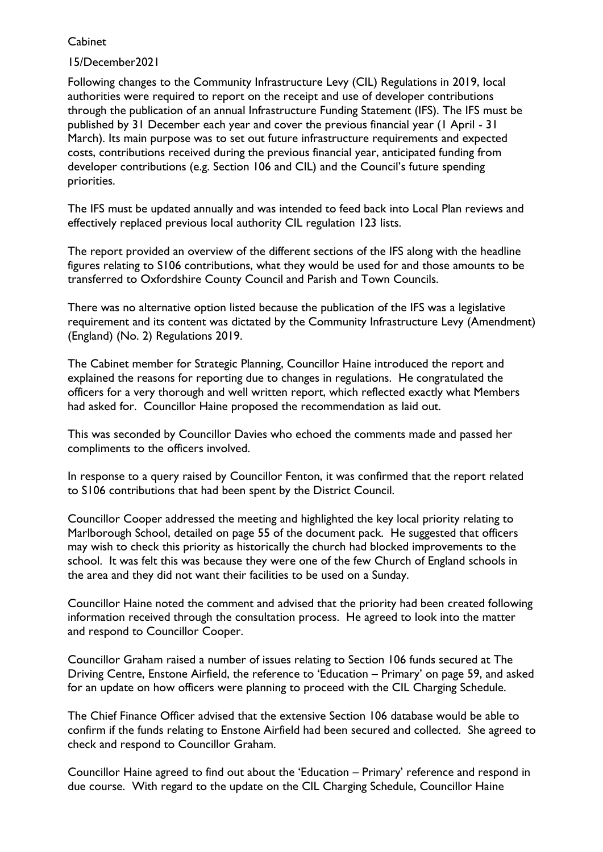# 15/December2021

Following changes to the Community Infrastructure Levy (CIL) Regulations in 2019, local authorities were required to report on the receipt and use of developer contributions through the publication of an annual Infrastructure Funding Statement (IFS). The IFS must be published by 31 December each year and cover the previous financial year (1 April - 31 March). Its main purpose was to set out future infrastructure requirements and expected costs, contributions received during the previous financial year, anticipated funding from developer contributions (e.g. Section 106 and CIL) and the Council's future spending priorities.

The IFS must be updated annually and was intended to feed back into Local Plan reviews and effectively replaced previous local authority CIL regulation 123 lists.

The report provided an overview of the different sections of the IFS along with the headline figures relating to S106 contributions, what they would be used for and those amounts to be transferred to Oxfordshire County Council and Parish and Town Councils.

There was no alternative option listed because the publication of the IFS was a legislative requirement and its content was dictated by the Community Infrastructure Levy (Amendment) (England) (No. 2) Regulations 2019.

The Cabinet member for Strategic Planning, Councillor Haine introduced the report and explained the reasons for reporting due to changes in regulations. He congratulated the officers for a very thorough and well written report, which reflected exactly what Members had asked for. Councillor Haine proposed the recommendation as laid out.

This was seconded by Councillor Davies who echoed the comments made and passed her compliments to the officers involved.

In response to a query raised by Councillor Fenton, it was confirmed that the report related to S106 contributions that had been spent by the District Council.

Councillor Cooper addressed the meeting and highlighted the key local priority relating to Marlborough School, detailed on page 55 of the document pack. He suggested that officers may wish to check this priority as historically the church had blocked improvements to the school. It was felt this was because they were one of the few Church of England schools in the area and they did not want their facilities to be used on a Sunday.

Councillor Haine noted the comment and advised that the priority had been created following information received through the consultation process. He agreed to look into the matter and respond to Councillor Cooper.

Councillor Graham raised a number of issues relating to Section 106 funds secured at The Driving Centre, Enstone Airfield, the reference to 'Education – Primary' on page 59, and asked for an update on how officers were planning to proceed with the CIL Charging Schedule.

The Chief Finance Officer advised that the extensive Section 106 database would be able to confirm if the funds relating to Enstone Airfield had been secured and collected. She agreed to check and respond to Councillor Graham.

Councillor Haine agreed to find out about the 'Education – Primary' reference and respond in due course. With regard to the update on the CIL Charging Schedule, Councillor Haine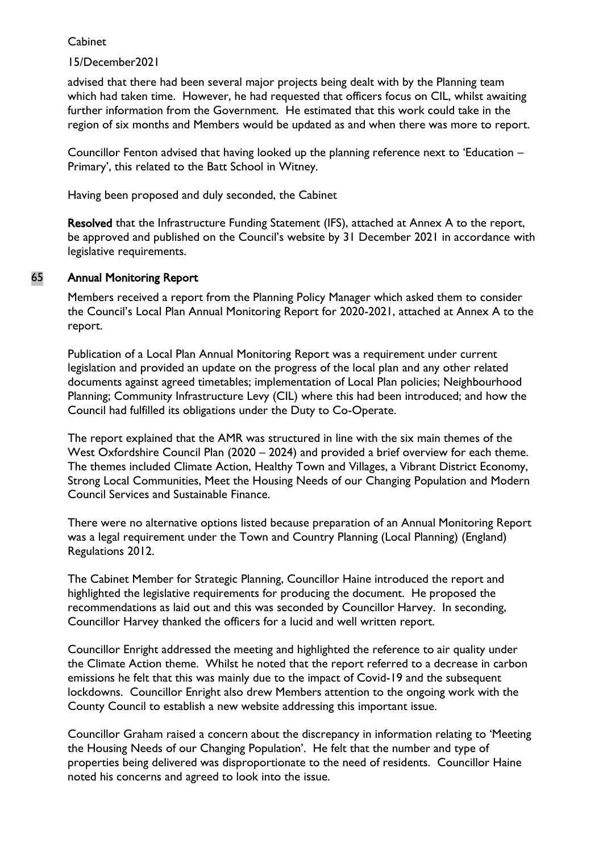# 15/December2021

advised that there had been several major projects being dealt with by the Planning team which had taken time. However, he had requested that officers focus on CIL, whilst awaiting further information from the Government. He estimated that this work could take in the region of six months and Members would be updated as and when there was more to report.

Councillor Fenton advised that having looked up the planning reference next to 'Education – Primary', this related to the Batt School in Witney.

Having been proposed and duly seconded, the Cabinet

Resolved that the Infrastructure Funding Statement (IFS), attached at Annex A to the report, be approved and published on the Council's website by 31 December 2021 in accordance with legislative requirements.

# 65 Annual Monitoring Report

Members received a report from the Planning Policy Manager which asked them to consider the Council's Local Plan Annual Monitoring Report for 2020-2021, attached at Annex A to the report.

Publication of a Local Plan Annual Monitoring Report was a requirement under current legislation and provided an update on the progress of the local plan and any other related documents against agreed timetables; implementation of Local Plan policies; Neighbourhood Planning; Community Infrastructure Levy (CIL) where this had been introduced; and how the Council had fulfilled its obligations under the Duty to Co-Operate.

The report explained that the AMR was structured in line with the six main themes of the West Oxfordshire Council Plan (2020 – 2024) and provided a brief overview for each theme. The themes included Climate Action, Healthy Town and Villages, a Vibrant District Economy, Strong Local Communities, Meet the Housing Needs of our Changing Population and Modern Council Services and Sustainable Finance.

There were no alternative options listed because preparation of an Annual Monitoring Report was a legal requirement under the Town and Country Planning (Local Planning) (England) Regulations 2012.

The Cabinet Member for Strategic Planning, Councillor Haine introduced the report and highlighted the legislative requirements for producing the document. He proposed the recommendations as laid out and this was seconded by Councillor Harvey. In seconding, Councillor Harvey thanked the officers for a lucid and well written report.

Councillor Enright addressed the meeting and highlighted the reference to air quality under the Climate Action theme. Whilst he noted that the report referred to a decrease in carbon emissions he felt that this was mainly due to the impact of Covid-19 and the subsequent lockdowns. Councillor Enright also drew Members attention to the ongoing work with the County Council to establish a new website addressing this important issue.

Councillor Graham raised a concern about the discrepancy in information relating to 'Meeting the Housing Needs of our Changing Population'. He felt that the number and type of properties being delivered was disproportionate to the need of residents. Councillor Haine noted his concerns and agreed to look into the issue.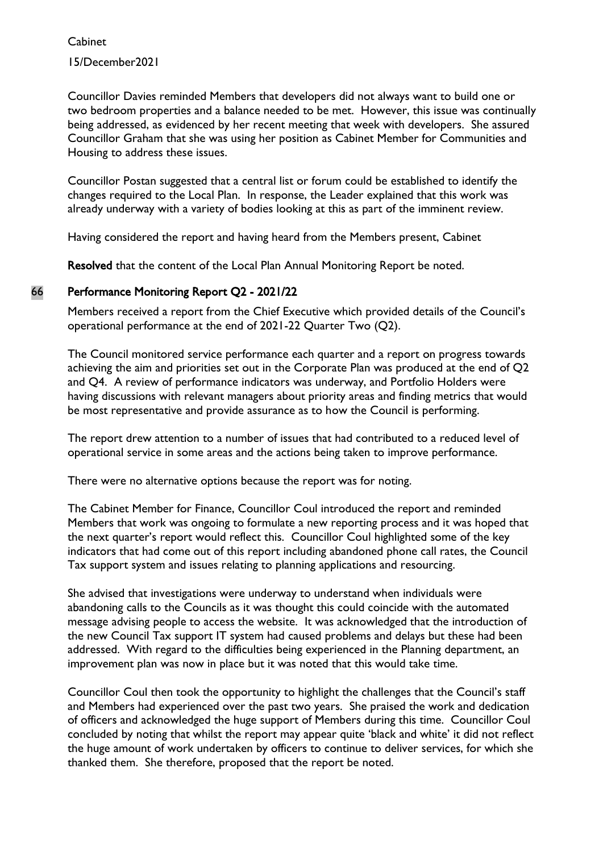Cabinet 15/December2021

Councillor Davies reminded Members that developers did not always want to build one or two bedroom properties and a balance needed to be met. However, this issue was continually being addressed, as evidenced by her recent meeting that week with developers. She assured Councillor Graham that she was using her position as Cabinet Member for Communities and Housing to address these issues.

Councillor Postan suggested that a central list or forum could be established to identify the changes required to the Local Plan. In response, the Leader explained that this work was already underway with a variety of bodies looking at this as part of the imminent review.

Having considered the report and having heard from the Members present, Cabinet

Resolved that the content of the Local Plan Annual Monitoring Report be noted.

# 66 Performance Monitoring Report Q2 - 2021/22

Members received a report from the Chief Executive which provided details of the Council's operational performance at the end of 2021-22 Quarter Two (Q2).

The Council monitored service performance each quarter and a report on progress towards achieving the aim and priorities set out in the Corporate Plan was produced at the end of Q2 and Q4. A review of performance indicators was underway, and Portfolio Holders were having discussions with relevant managers about priority areas and finding metrics that would be most representative and provide assurance as to how the Council is performing.

The report drew attention to a number of issues that had contributed to a reduced level of operational service in some areas and the actions being taken to improve performance.

There were no alternative options because the report was for noting.

The Cabinet Member for Finance, Councillor Coul introduced the report and reminded Members that work was ongoing to formulate a new reporting process and it was hoped that the next quarter's report would reflect this. Councillor Coul highlighted some of the key indicators that had come out of this report including abandoned phone call rates, the Council Tax support system and issues relating to planning applications and resourcing.

She advised that investigations were underway to understand when individuals were abandoning calls to the Councils as it was thought this could coincide with the automated message advising people to access the website. It was acknowledged that the introduction of the new Council Tax support IT system had caused problems and delays but these had been addressed. With regard to the difficulties being experienced in the Planning department, an improvement plan was now in place but it was noted that this would take time.

Councillor Coul then took the opportunity to highlight the challenges that the Council's staff and Members had experienced over the past two years. She praised the work and dedication of officers and acknowledged the huge support of Members during this time. Councillor Coul concluded by noting that whilst the report may appear quite 'black and white' it did not reflect the huge amount of work undertaken by officers to continue to deliver services, for which she thanked them. She therefore, proposed that the report be noted.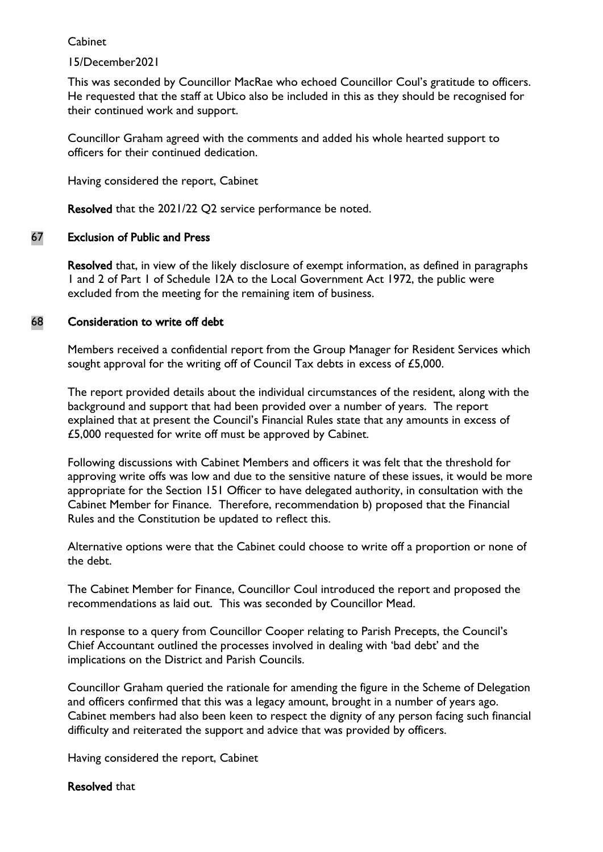# 15/December2021

This was seconded by Councillor MacRae who echoed Councillor Coul's gratitude to officers. He requested that the staff at Ubico also be included in this as they should be recognised for their continued work and support.

Councillor Graham agreed with the comments and added his whole hearted support to officers for their continued dedication.

Having considered the report, Cabinet

Resolved that the 2021/22 Q2 service performance be noted.

# 67 Exclusion of Public and Press

Resolved that, in view of the likely disclosure of exempt information, as defined in paragraphs 1 and 2 of Part 1 of Schedule 12A to the Local Government Act 1972, the public were excluded from the meeting for the remaining item of business.

# 68 Consideration to write off debt

Members received a confidential report from the Group Manager for Resident Services which sought approval for the writing off of Council Tax debts in excess of £5,000.

The report provided details about the individual circumstances of the resident, along with the background and support that had been provided over a number of years. The report explained that at present the Council's Financial Rules state that any amounts in excess of £5,000 requested for write off must be approved by Cabinet.

Following discussions with Cabinet Members and officers it was felt that the threshold for approving write offs was low and due to the sensitive nature of these issues, it would be more appropriate for the Section 151 Officer to have delegated authority, in consultation with the Cabinet Member for Finance. Therefore, recommendation b) proposed that the Financial Rules and the Constitution be updated to reflect this.

Alternative options were that the Cabinet could choose to write off a proportion or none of the debt.

The Cabinet Member for Finance, Councillor Coul introduced the report and proposed the recommendations as laid out. This was seconded by Councillor Mead.

In response to a query from Councillor Cooper relating to Parish Precepts, the Council's Chief Accountant outlined the processes involved in dealing with 'bad debt' and the implications on the District and Parish Councils.

Councillor Graham queried the rationale for amending the figure in the Scheme of Delegation and officers confirmed that this was a legacy amount, brought in a number of years ago. Cabinet members had also been keen to respect the dignity of any person facing such financial difficulty and reiterated the support and advice that was provided by officers.

Having considered the report, Cabinet

#### Resolved that